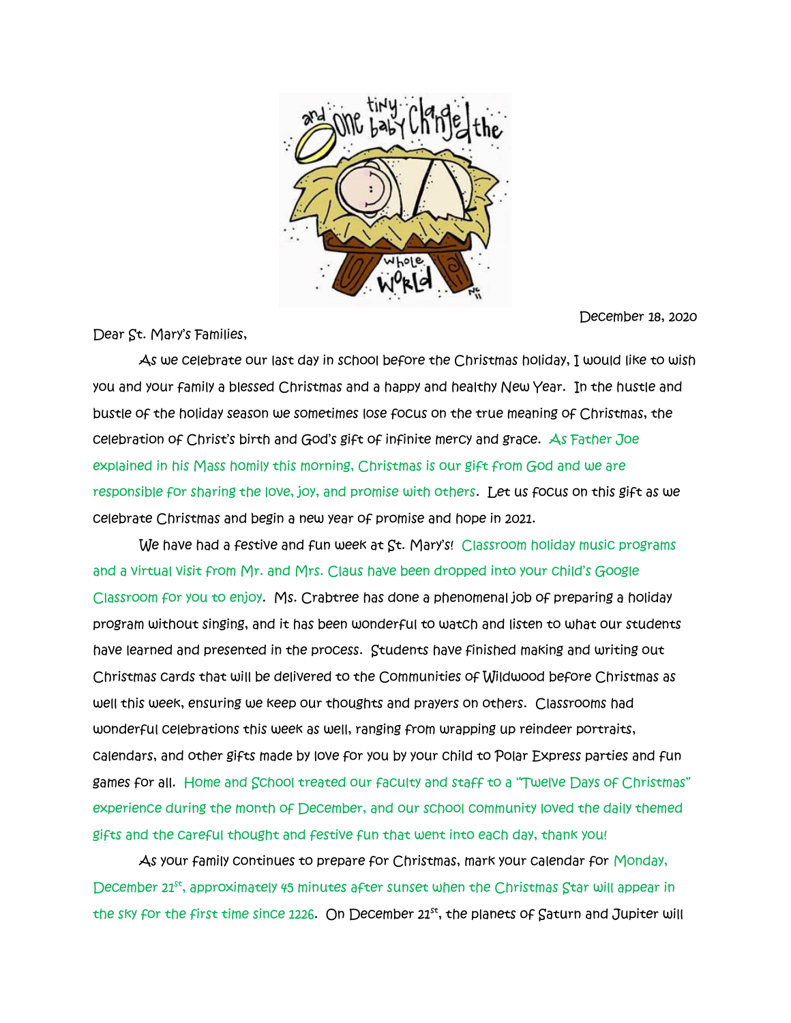

Dear St. Mary's Families,

December 18, 2020

 As we celebrate our last day in school before the Christmas holiday, I would like to wish you and your family a blessed Christmas and a happy and healthy New Year. In the hustle and bustle of the holiday season we sometimes lose focus on the true meaning of Christmas, the celebration of Christ's birth and God's gift of infinite mercy and grace. As Father Joe explained in his Mass homily this morning, Christmas is our gift from God and we are responsible for sharing the love, joy, and promise with others. Let us focus on this gift as we celebrate Christmas and begin a new year of promise and hope in 2021.

We have had a festive and fun week at St. Mary's! Classroom holiday music programs and a virtual visit from Mr. and Mrs. Claus have been dropped into your child's Google Classroom for you to enjoy. Ms. Crabtree has done a phenomenal job of preparing a holiday program without singing, and it has been wonderful to watch and listen to what our students have learned and presented in the process. Students have finished making and writing out Christmas cards that will be delivered to the Communities of Wildwood before Christmas as well this week, ensuring we keep our thoughts and prayers on others. Classrooms had wonderful celebrations this week as well, ranging from wrapping up reindeer portraits, calendars, and other gifts made by love for you by your child to Polar Express parties and fun games for all. Home and School treated our faculty and staff to a "Twelve Days of Christmas" experience during the month of December, and our school community loved the daily themed gifts and the careful thought and festive fun that went into each day, thank you!

 As your family continues to prepare for Christmas, mark your calendar for Monday, December 21st, approximately 45 minutes after sunset when the Christmas Star will appear in the sky for the first time since 1226. On December  $21<sup>st</sup>$ , the planets of Saturn and Jupiter will